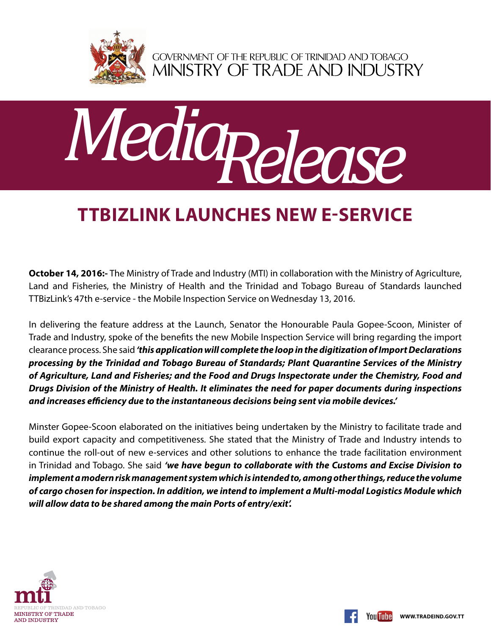

GOVERNMENT OF THE REPUBLIC OF TRINIDAD AND TOBAGO<br>MINISTRY OF TRADE AND INDUSTRY



## **TTBizLink launches new e-service**

**October 14, 2016:-** The Ministry of Trade and Industry (MTI) in collaboration with the Ministry of Agriculture, Land and Fisheries, the Ministry of Health and the Trinidad and Tobago Bureau of Standards launched TTBizLink's 47th e-service - the Mobile Inspection Service on Wednesday 13, 2016.

In delivering the feature address at the Launch, Senator the Honourable Paula Gopee-Scoon, Minister of Trade and Industry, spoke of the benefits the new Mobile Inspection Service will bring regarding the import clearance process. She said *'this application will complete the loop in the digitization of Import Declarations processing by the Trinidad and Tobago Bureau of Standards; Plant Quarantine Services of the Ministry of Agriculture, Land and Fisheries; and the Food and Drugs Inspectorate under the Chemistry, Food and Drugs Division of the Ministry of Health. It eliminates the need for paper documents during inspections and increases efficiency due to the instantaneous decisions being sent via mobile devices.'*

Minster Gopee-Scoon elaborated on the initiatives being undertaken by the Ministry to facilitate trade and build export capacity and competitiveness. She stated that the Ministry of Trade and Industry intends to continue the roll-out of new e-services and other solutions to enhance the trade facilitation environment in Trinidad and Tobago. She said *'we have begun to collaborate with the Customs and Excise Division to implement a modern risk management system which is intended to, among other things, reduce the volume of cargo chosen for inspection. In addition, we intend to implement a Multi-modal Logistics Module which will allow data to be shared among the main Ports of entry/exit'.*